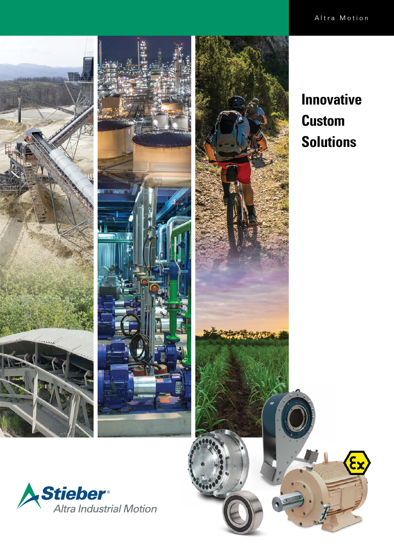



# **Innovative Custom Solutions**

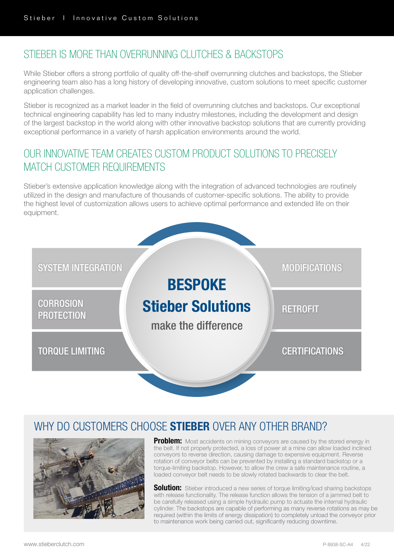# STIFBER IS MORE THAN OVERRUNNING CLUTCHES & BACKSTOPS

While Stieber offers a strong portfolio of quality off-the-shelf overrunning clutches and backstops, the Stieber engineering team also has a long history of developing innovative, custom solutions to meet specific customer application challenges.

Stieber is recognized as a market leader in the field of overrunning clutches and backstops. Our exceptional technical engineering capability has led to many industry milestones, including the development and design of the largest backstop in the world along with other innovative backstop solutions that are currently providing exceptional performance in a variety of harsh application environments around the world.

# OUR INNOVATIVE TEAM CREATES CUSTOM PRODUCT SOLUTIONS TO PRECISELY MATCH CUSTOMER REQUIREMENTS

Stieber's extensive application knowledge along with the integration of advanced technologies are routinely utilized in the design and manufacture of thousands of customer-specific solutions. The ability to provide the highest level of customization allows users to achieve optimal performance and extended life on their equipment.



# WHY DO CUSTOMERS CHOOSE **STIEBER** OVER ANY OTHER BRAND?



Problem: Most accidents on mining conveyors are caused by the stored energy in the belt. If not properly protected, a loss of power at a mine can allow loaded inclined conveyors to reverse direction, causing damage to expensive equipment. Reverse rotation of conveyor belts can be prevented by installing a standard backstop or a torque-limiting backstop. However, to allow the crew a safe maintenance routine, a loaded conveyor belt needs to be slowly rotated backwards to clear the belt.

**Solution:** Stieber introduced a new series of torque limiting/load sharing backstops with release functionality. The release function allows the tension of a jammed belt to be carefully released using a simple hydraulic pump to actuate the internal hydraulic cylinder. The backstops are capable of performing as many reverse rotations as may be required (within the limits of energy dissipation) to completely unload the conveyor prior to maintenance work being carried out, significantly reducing downtime.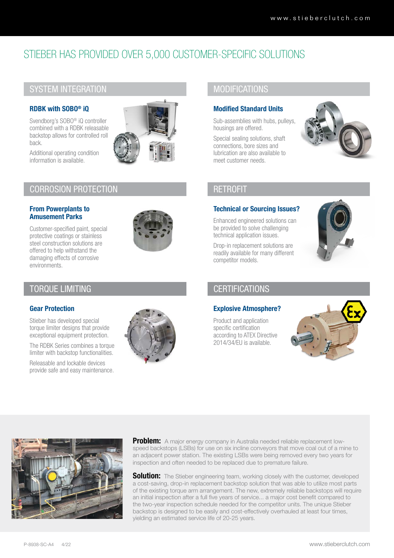# STIEBER HAS PROVIDED OVER 5,000 CUSTOMER-SPECIFIC SOLUTIONS

# SYSTEM INTEGRATION

## RDBK with SOBO® iQ

Svendborg's SOBO® iQ controller combined with a RDBK releasable backstop allows for controlled roll back.



Additional operating condition information is available.

# CORROSION PROTECTION

### From Powerplants to Amusement Parks

Customer-specified paint, special protective coatings or stainless steel construction solutions are offered to help withstand the damaging effects of corrosive environments.



# TORQUE LIMITING

### Gear Protection

Stieber has developed special torque limiter designs that provide exceptional equipment protection.

The RDBK Series combines a torque limiter with backstop functionalities.

Releasable and lockable devices provide safe and easy maintenance.



# **MODIFICATIONS**

### Modified Standard Units

Sub-assemblies with hubs, pulleys, housings are offered.

Special sealing solutions, shaft connections, bore sizes and lubrication are also available to meet customer needs.



## **RETROFIT**

### Technical or Sourcing Issues?

Enhanced engineered solutions can be provided to solve challenging technical application issues.

Drop-in replacement solutions are readily available for many different competitor models.



# **CERTIFICATIONS**

### Explosive Atmosphere?

Product and application specific certification according to ATEX Directive 2014/34/EU is available.





Problem: A major energy company in Australia needed reliable replacement lowspeed backstops (LSBs) for use on six incline conveyors that move coal out of a mine to an adjacent power station. The existing LSBs were being removed every two years for inspection and often needed to be replaced due to premature failure.

**Solution:** The Stieber engineering team, working closely with the customer, developed a cost-saving, drop-in replacement backstop solution that was able to utilize most parts of the existing torque arm arrangement. The new, extremely reliable backstops will require an initial inspection after a full five years of service... a major cost benefit compared to the two-year inspection schedule needed for the competitor units. The unique Stieber backstop is designed to be easily and cost-effectively overhauled at least four times, yielding an estimated service life of 20-25 years.